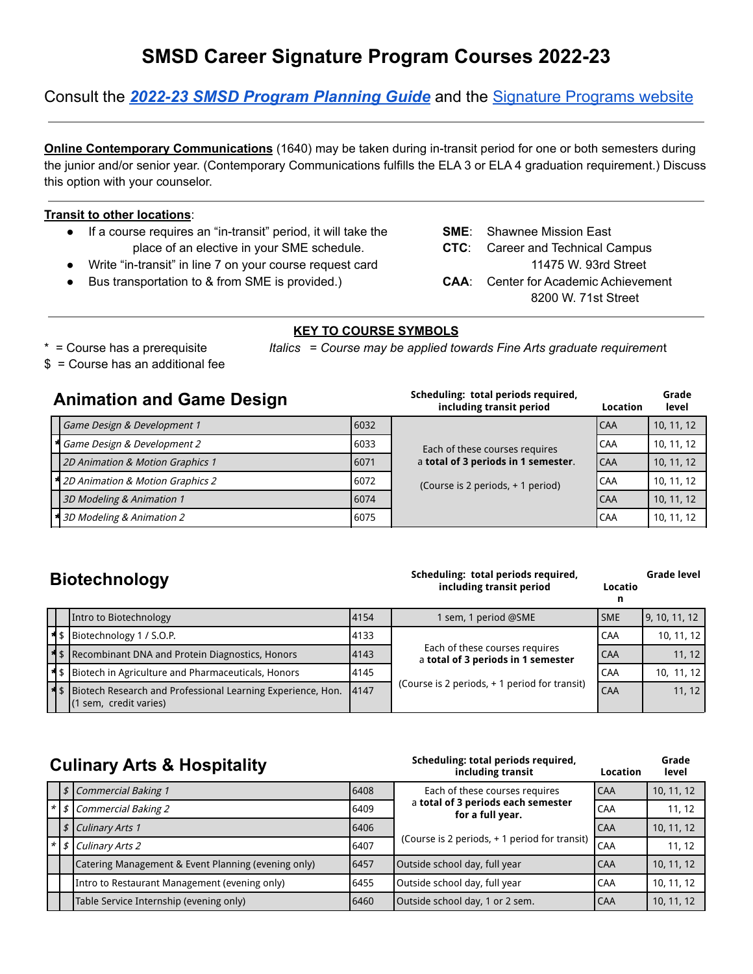# **SMSD Career Signature Program Courses 2022-23**

Consult the *2022-23 SMSD Program [Planning](https://smeast.smsd.org/students/counseling/course-lists) Guide* and the Signature [Programs](https://www.smsd.org/academics/signature-programs) website

**Online Contemporary Communications** (1640) may be taken during in-transit period for one or both semesters during the junior and/or senior year. (Contemporary Communications fulfills the ELA 3 or ELA 4 graduation requirement.) Discuss this option with your counselor.

#### **Transit to other locations**:

- If a course requires an "in-transit" period, it will take the **SME**: Shawnee Mission East place of an elective in your SME schedule. **CTC**: Career and Technical Campus
- Write "in-transit" in line 7 on your course request card 11475 W. 93rd Street
- Bus transportation to & from SME is provided.) **CAA:** Center for Academic Achievement
- 
- -
- 8200 W. 71st Street

#### **KEY TO COURSE SYMBOLS**

- 
- \* = Course has a prerequisite *Italics* = *Course may be applied towards Fine Arts graduate requiremen*t

**Scheduling: total periods required,**

\$ = Course has an additional fee

#### **Animation and Game Design**

| AURUQUU QUQ GANIQ BUUQIQ                  |      | including transit period            | Location   | level      |
|-------------------------------------------|------|-------------------------------------|------------|------------|
| Game Design & Development 1               | 6032 |                                     | <b>CAA</b> | 10, 11, 12 |
| 4 Game Design & Development 2             | 6033 | Each of these courses requires      | CAA        | 10, 11, 12 |
| 2D Animation & Motion Graphics 1          | 6071 | a total of 3 periods in 1 semester. | <b>CAA</b> | 10, 11, 12 |
| <b>*</b> 2D Animation & Motion Graphics 2 | 6072 | (Course is 2 periods, + 1 period)   | CAA        | 10, 11, 12 |
| 3D Modeling & Animation 1                 | 6074 |                                     | <b>CAA</b> | 10, 11, 12 |
| * 3D Modeling & Animation 2               | 6075 |                                     | CAA        | 10, 11, 12 |

### **Biotechnology**

#### **Scheduling: total periods required, including transit period Locatio**

**Scheduling: total periods required,**

**Grade level**

**Grade**

**Grade**

|  | Intro to Biotechnology                                                                             | 4154                                                                         | 1 sem, 1 period @SME                          | <b>SME</b> | 9, 10, 11, 12 |
|--|----------------------------------------------------------------------------------------------------|------------------------------------------------------------------------------|-----------------------------------------------|------------|---------------|
|  | $\frac{4}{3}$   Biotechnology 1 / S.O.P.                                                           | 4133                                                                         |                                               | CAA        | 10, 11, 12    |
|  | <b>*</b> S   Recombinant DNA and Protein Diagnostics, Honors                                       | Each of these courses requires<br>4143<br>a total of 3 periods in 1 semester |                                               | l CAA      | 11, 12        |
|  | <b>*</b> S   Biotech in Agriculture and Pharmaceuticals, Honors                                    | 4145                                                                         | (Course is 2 periods, + 1 period for transit) | <b>CAA</b> | 10, 11, 12    |
|  | <b>*</b> S   Biotech Research and Professional Learning Experience, Hon.<br>(1 sem, credit varies) | 4147                                                                         |                                               | <b>CAA</b> | 11.12         |

| <b>Culinary Arts &amp; Hospitality</b> |  |  |  |
|----------------------------------------|--|--|--|
|----------------------------------------|--|--|--|

|  | <b>UUIIIIAI y ALIJU COMPUTERIO PROPILATION</b>      | including transit |                                                        | Location   | level      |
|--|-----------------------------------------------------|-------------------|--------------------------------------------------------|------------|------------|
|  | \$   Commercial Baking 1<br>6408                    |                   | Each of these courses requires                         | CAA        | 10, 11, 12 |
|  | $\vert * \vert$ \$   Commercial Baking 2            | 6409              | a total of 3 periods each semester<br>for a full year. | CAA        | 11.12      |
|  | $\frac{1}{2}$ Culinary Arts 1                       | 6406              |                                                        | <b>CAA</b> | 10, 11, 12 |
|  | $\vert * \vert$ \$   Culinary Arts 2                | 6407              | (Course is 2 periods, + 1 period for transit)          | CAA        | 11, 12     |
|  | Catering Management & Event Planning (evening only) | 6457              | Outside school day, full year                          | CAA        | 10, 11, 12 |
|  | Intro to Restaurant Management (evening only)       | 6455              | Outside school day, full year                          | CAA        | 10, 11, 12 |
|  | Table Service Internship (evening only)             | 6460              | Outside school day, 1 or 2 sem.                        | CAA        | 10, 11, 12 |